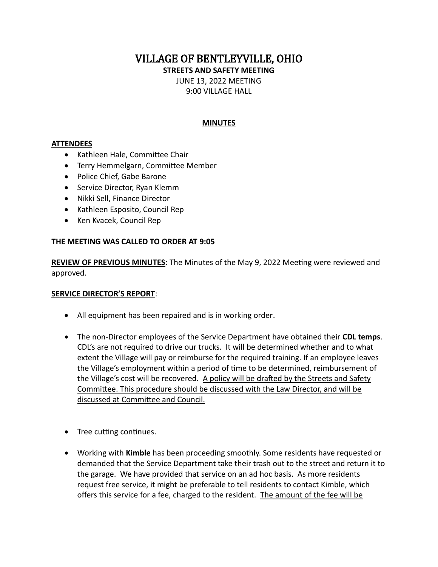VILLAGE OF BENTLEYVILLE, OHIO

**STREETS AND SAFETY MEETING**

JUNE 13, 2022 MEETING

9:00 VILLAGE HALL

## **MINUTES**

## **ATTENDEES**

- Kathleen Hale, Committee Chair
- Terry Hemmelgarn, Committee Member
- Police Chief, Gabe Barone
- Service Director, Ryan Klemm
- Nikki Sell, Finance Director
- Kathleen Esposito, Council Rep
- Ken Kvacek, Council Rep

## **THE MEETING WAS CALLED TO ORDER AT 9:05**

**REVIEW OF PREVIOUS MINUTES**: The Minutes of the May 9, 2022 Meeting were reviewed and approved.

### **SERVICE DIRECTOR'S REPORT**:

- All equipment has been repaired and is in working order.
- The non-Director employees of the Service Department have obtained their **CDL temps**. CDL's are not required to drive our trucks. It will be determined whether and to what extent the Village will pay or reimburse for the required training. If an employee leaves the Village's employment within a period of time to be determined, reimbursement of the Village's cost will be recovered. A policy will be drafted by the Streets and Safety Committee. This procedure should be discussed with the Law Director, and will be discussed at Committee and Council.
- Tree cutting continues.
- Working with **Kimble** has been proceeding smoothly. Some residents have requested or demanded that the Service Department take their trash out to the street and return it to the garage. We have provided that service on an ad hoc basis. As more residents request free service, it might be preferable to tell residents to contact Kimble, which offers this service for a fee, charged to the resident. The amount of the fee will be